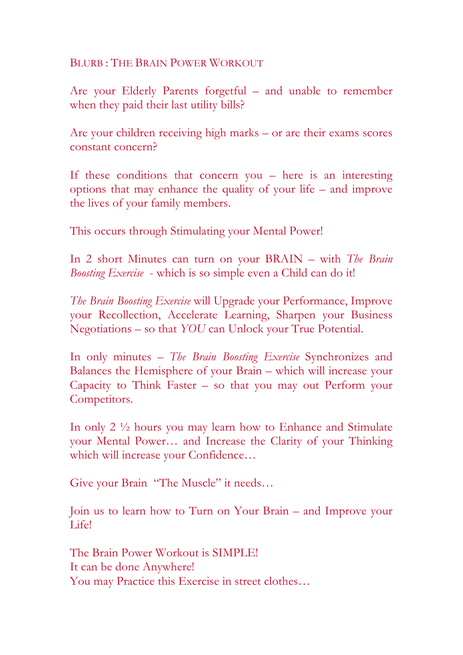BLURB : THE BRAIN POWER WORKOUT

Are your Elderly Parents forgetful – and unable to remember when they paid their last utility bills?

Are your children receiving high marks – or are their exams scores constant concern?

If these conditions that concern you – here is an interesting options that may enhance the quality of your life – and improve the lives of your family members.

This occurs through Stimulating your Mental Power!

In 2 short Minutes can turn on your BRAIN – with *The Brain Boosting Exercise* - which is so simple even a Child can do it!

*The Brain Boosting Exercise* will Upgrade your Performance, Improve your Recollection, Accelerate Learning, Sharpen your Business Negotiations – so that *YOU* can Unlock your True Potential.

In only minutes – *The Brain Boosting Exercise* Synchronizes and Balances the Hemisphere of your Brain – which will increase your Capacity to Think Faster – so that you may out Perform your Competitors.

In only 2 ½ hours you may learn how to Enhance and Stimulate your Mental Power… and Increase the Clarity of your Thinking which will increase your Confidence…

Give your Brain "The Muscle" it needs…

Join us to learn how to Turn on Your Brain – and Improve your Life!

The Brain Power Workout is SIMPLE! It can be done Anywhere! You may Practice this Exercise in street clothes…